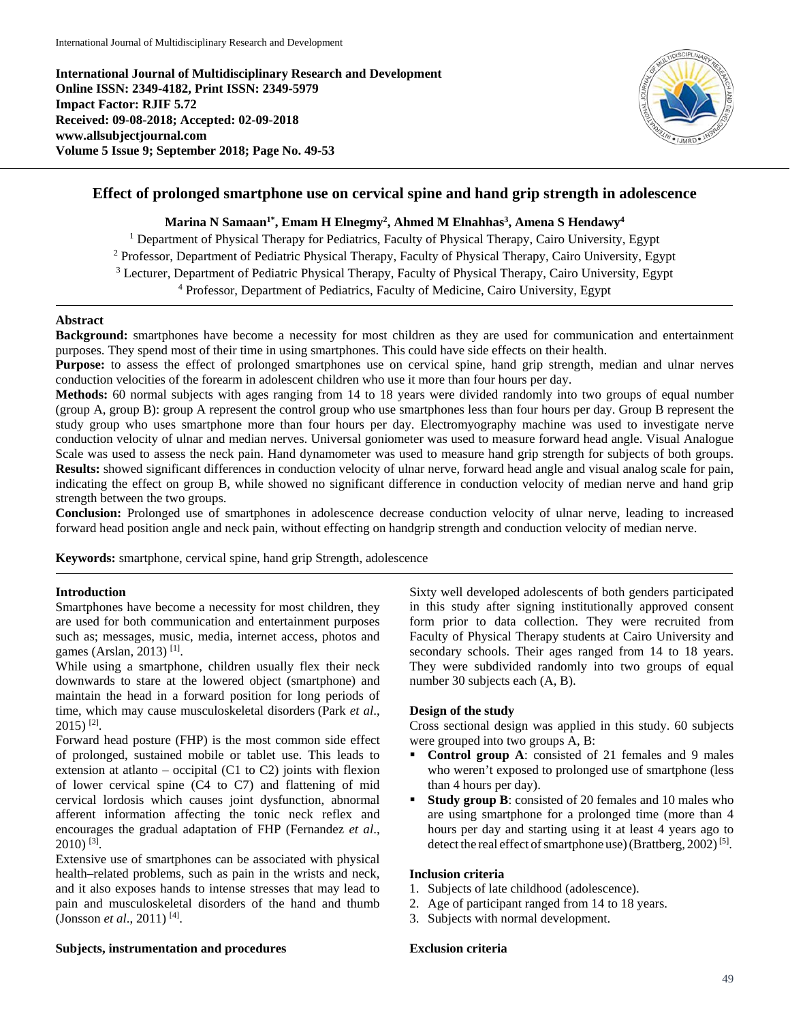**International Journal of Multidisciplinary Research and Development Online ISSN: 2349-4182, Print ISSN: 2349-5979 Impact Factor: RJIF 5.72 Received: 09-08-2018; Accepted: 02-09-2018 www.allsubjectjournal.com Volume 5 Issue 9; September 2018; Page No. 49-53**



# **Effect of prolonged smartphone use on cervical spine and hand grip strength in adolescence**

## **Marina N Samaan1\*, Emam H Elnegmy2 , Ahmed M Elnahhas3 , Amena S Hendawy4**

<sup>1</sup> Department of Physical Therapy for Pediatrics, Faculty of Physical Therapy, Cairo University, Egypt <sup>2</sup> Professor, Department of Pediatric Physical Therapy, Faculty of Physical Therapy, Cairo University, Egypt <sup>3</sup> Lecturer, Department of Pediatric Physical Therapy, Faculty of Physical Therapy, Cairo University, Egypt <sup>4</sup> Professor, Department of Pediatrics, Faculty of Medicine, Cairo University, Egypt

#### **Abstract**

**Background:** smartphones have become a necessity for most children as they are used for communication and entertainment purposes. They spend most of their time in using smartphones. This could have side effects on their health.

**Purpose:** to assess the effect of prolonged smartphones use on cervical spine, hand grip strength, median and ulnar nerves conduction velocities of the forearm in adolescent children who use it more than four hours per day.

**Methods:** 60 normal subjects with ages ranging from 14 to 18 years were divided randomly into two groups of equal number (group A, group B): group A represent the control group who use smartphones less than four hours per day. Group B represent the study group who uses smartphone more than four hours per day. Electromyography machine was used to investigate nerve conduction velocity of ulnar and median nerves. Universal goniometer was used to measure forward head angle. Visual Analogue Scale was used to assess the neck pain. Hand dynamometer was used to measure hand grip strength for subjects of both groups. **Results:** showed significant differences in conduction velocity of ulnar nerve, forward head angle and visual analog scale for pain, indicating the effect on group B, while showed no significant difference in conduction velocity of median nerve and hand grip strength between the two groups.

**Conclusion:** Prolonged use of smartphones in adolescence decrease conduction velocity of ulnar nerve, leading to increased forward head position angle and neck pain, without effecting on handgrip strength and conduction velocity of median nerve.

**Keywords:** smartphone, cervical spine, hand grip Strength, adolescence

#### **Introduction**

Smartphones have become a necessity for most children, they are used for both communication and entertainment purposes such as; messages, music, media, internet access, photos and games (Arslan, 2013) [1].

While using a smartphone, children usually flex their neck downwards to stare at the lowered object (smartphone) and maintain the head in a forward position for long periods of time, which may cause musculoskeletal disorders (Park *et al*., 2015) [2].

Forward head posture (FHP) is the most common side effect of prolonged, sustained mobile or tablet use. This leads to extension at atlanto – occipital (C1 to C2) joints with flexion of lower cervical spine (C4 to C7) and flattening of mid cervical lordosis which causes joint dysfunction, abnormal afferent information affecting the tonic neck reflex and encourages the gradual adaptation of FHP (Fernandez *et al*.,  $2010$ ) <sup>[3]</sup>.

Extensive use of smartphones can be associated with physical health–related problems, such as pain in the wrists and neck, and it also exposes hands to intense stresses that may lead to pain and musculoskeletal disorders of the hand and thumb (Jonsson *et al*., 2011) [4].

Sixty well developed adolescents of both genders participated in this study after signing institutionally approved consent form prior to data collection. They were recruited from Faculty of Physical Therapy students at Cairo University and secondary schools. Their ages ranged from 14 to 18 years. They were subdivided randomly into two groups of equal number 30 subjects each (A, B).

### **Design of the study**

Cross sectional design was applied in this study. 60 subjects were grouped into two groups A, B:

- **Control group A**: consisted of 21 females and 9 males who weren't exposed to prolonged use of smartphone (less than 4 hours per day).
- **Study group B**: consisted of 20 females and 10 males who are using smartphone for a prolonged time (more than 4 hours per day and starting using it at least 4 years ago to detect the real effect of smartphone use) (Brattberg, 2002)<sup>[5]</sup>.

#### **Inclusion criteria**

- 1. Subjects of late childhood (adolescence).
- 2. Age of participant ranged from 14 to 18 years.
- 3. Subjects with normal development.

### **Subjects, instrumentation and procedures**

#### **Exclusion criteria**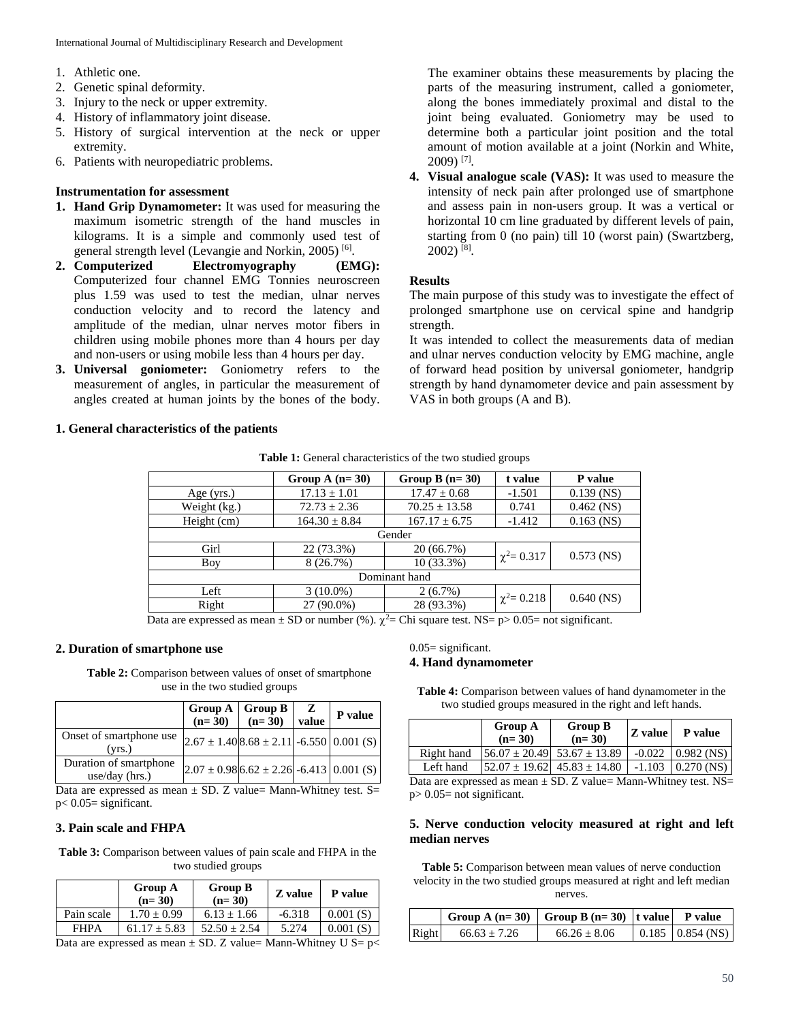- 1. Athletic one.
- 2. Genetic spinal deformity.
- 3. Injury to the neck or upper extremity.
- 4. History of inflammatory joint disease.
- 5. History of surgical intervention at the neck or upper extremity.
- 6. Patients with neuropediatric problems.

# **Instrumentation for assessment**

- **1. Hand Grip Dynamometer:** It was used for measuring the maximum isometric strength of the hand muscles in kilograms. It is a simple and commonly used test of general strength level (Levangie and Norkin, 2005) [6].
- **2. Computerized Electromyography (EMG):** Computerized four channel EMG Tonnies neuroscreen plus 1.59 was used to test the median, ulnar nerves conduction velocity and to record the latency and amplitude of the median, ulnar nerves motor fibers in children using mobile phones more than 4 hours per day and non-users or using mobile less than 4 hours per day.
- **3. Universal goniometer:** Goniometry refers to the measurement of angles, in particular the measurement of angles created at human joints by the bones of the body.

## **1. General characteristics of the patients**

The examiner obtains these measurements by placing the parts of the measuring instrument, called a goniometer, along the bones immediately proximal and distal to the joint being evaluated. Goniometry may be used to determine both a particular joint position and the total amount of motion available at a joint (Norkin and White, 2009) [7].

**4. Visual analogue scale (VAS):** It was used to measure the intensity of neck pain after prolonged use of smartphone and assess pain in non-users group. It was a vertical or horizontal 10 cm line graduated by different levels of pain, starting from 0 (no pain) till 10 (worst pain) (Swartzberg,  $2002$ ) <sup>[8]</sup>.

## **Results**

The main purpose of this study was to investigate the effect of prolonged smartphone use on cervical spine and handgrip strength.

It was intended to collect the measurements data of median and ulnar nerves conduction velocity by EMG machine, angle of forward head position by universal goniometer, handgrip strength by hand dynamometer device and pain assessment by VAS in both groups (A and B).

|  | Table 1: General characteristics of the two studied groups |  |  |
|--|------------------------------------------------------------|--|--|
|  |                                                            |  |  |

|                                                              | Group A $(n=30)$  | Group B $(n=30)$  | t value          | P value      |  |  |
|--------------------------------------------------------------|-------------------|-------------------|------------------|--------------|--|--|
| Age (yrs.)                                                   | $17.13 \pm 1.01$  | $17.47 \pm 0.68$  | $-1.501$         | $0.139$ (NS) |  |  |
| Weight (kg.)                                                 | $72.73 \pm 2.36$  | $70.25 \pm 13.58$ | 0.741            | $0.462$ (NS) |  |  |
| Height (cm)                                                  | $164.30 \pm 8.84$ | $167.17 \pm 6.75$ | $-1.412$         | $0.163$ (NS) |  |  |
|                                                              | Gender            |                   |                  |              |  |  |
| Girl                                                         | 22 (73.3%)        | 20 (66.7%)        |                  | $0.573$ (NS) |  |  |
| Boy                                                          | 8(26.7%)          | $10(33.3\%)$      | $\chi^2 = 0.317$ |              |  |  |
| Dominant hand                                                |                   |                   |                  |              |  |  |
| Left                                                         | $3(10.0\%)$       | $2(6.7\%)$        |                  |              |  |  |
| Right                                                        | 27 (90.0%)        | 28 (93.3%)        | $\chi^2 = 0.218$ | $0.640$ (NS) |  |  |
| $\sim$ 1 (0) $\sim$ 2 $\sim$ 1<br>╮.<br>$\sim$ $\sim$ $\sim$ |                   |                   |                  |              |  |  |

Data are expressed as mean  $\pm$  SD or number (%).  $\gamma^2$  Chi square test. NS= p> 0.05= not significant.

## **2. Duration of smartphone use**

**Table 2:** Comparison between values of onset of smartphone use in the two studied groups

|                                            | Group $A \mid$ Group $B$<br>$(n=30)$ | $\ln = 30$                                       | z<br>value | P value |
|--------------------------------------------|--------------------------------------|--------------------------------------------------|------------|---------|
| Onset of smartphone use<br>(vrs.)          |                                      | $2.67 \pm 1.40[8.68 \pm 2.11] - 6.550[0.001(S)]$ |            |         |
| Duration of smartphone<br>$use/day$ (hrs.) |                                      | $2.07 \pm 0.98$ 6.62 $\pm 2.26$ -6.413 0.001 (S) |            |         |

Data are expressed as mean  $\pm$  SD. Z value= Mann-Whitney test. S= p< 0.05= significant.

# **3. Pain scale and FHPA**

**Table 3:** Comparison between values of pain scale and FHPA in the two studied groups

|             | <b>Group A</b><br>$(n=30)$ | <b>Group B</b><br>$(n=30)$ | Z value  | P value  |
|-------------|----------------------------|----------------------------|----------|----------|
| Pain scale  | $1.70 \pm 0.99$            | $6.13 \pm 1.66$            | $-6.318$ | 0.001(S) |
| <b>FHPA</b> | $61.17 + 5.83$             | $52.50 + 2.54$             | 5.274    | 0.001(S) |
|             |                            |                            |          |          |

Data are expressed as mean  $\pm$  SD. Z value= Mann-Whitney U S= p<

0.05= significant.

## **4. Hand dynamometer**

| <b>Table 4:</b> Comparison between values of hand dynamometer in the |  |
|----------------------------------------------------------------------|--|
| two studied groups measured in the right and left hands.             |  |

|            | <b>Group A</b><br>$(n=30)$ | <b>Group B</b><br>$(n=30)$                                  | Z value | <b>P</b> value        |
|------------|----------------------------|-------------------------------------------------------------|---------|-----------------------|
| Right hand |                            | $[56.07 \pm 20.49]$ 53.67 $\pm$ 13.89                       |         | $-0.022$   0.982 (NS) |
| Left hand  |                            | $ 52.07 \pm 19.62 $ 45.83 $\pm$ 14.80   -1.103   0.270 (NS) |         |                       |

Data are expressed as mean  $\pm$  SD. Z value= Mann-Whitney test. NS=  $p > 0.05$  = not significant.

## **5. Nerve conduction velocity measured at right and left median nerves**

**Table 5:** Comparison between mean values of nerve conduction velocity in the two studied groups measured at right and left median nerves.

|       |                | Group A $(n=30)$ Group B $(n=30)$ t value P value |                        |
|-------|----------------|---------------------------------------------------|------------------------|
| Right | $66.63 + 7.26$ | $66.26 + 8.06$                                    | $0.185$   $0.854$ (NS) |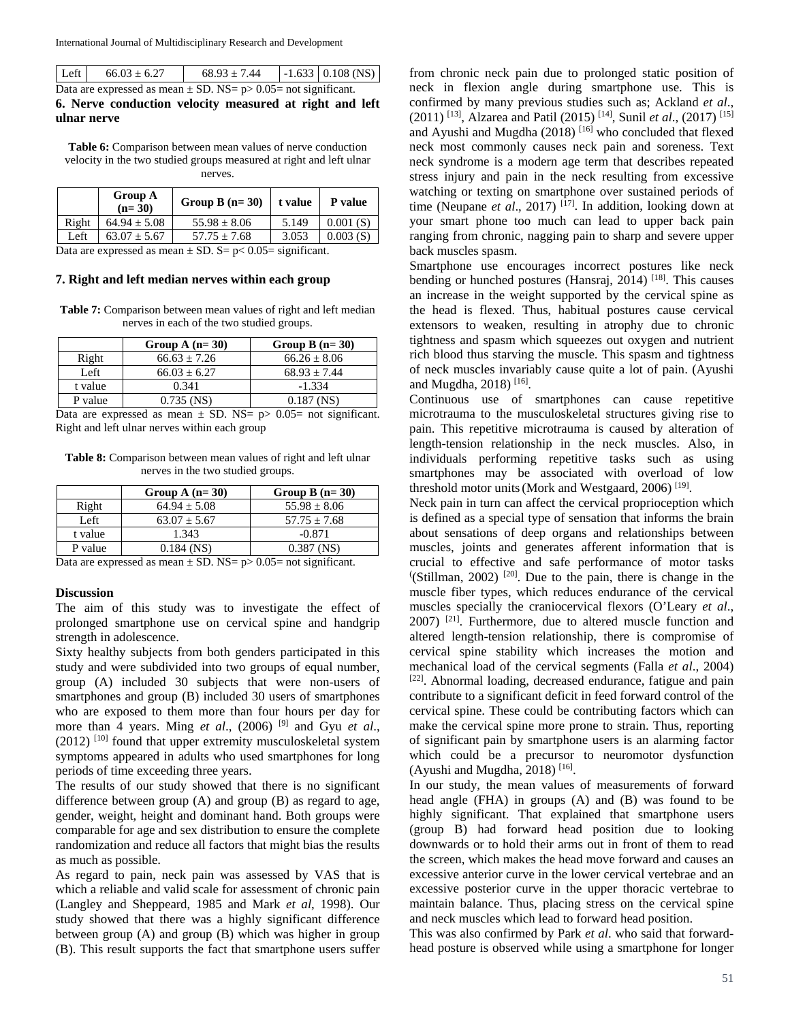| Let                                                                | $66.03 \pm 6.27$ | $68.93 \pm 7.44$ |  | $-1.633$ 0.108 (NS) |
|--------------------------------------------------------------------|------------------|------------------|--|---------------------|
| Data are expressed as mean $\pm$ SD. NS= p> 0.05= not significant. |                  |                  |  |                     |

**6. Nerve conduction velocity measured at right and left ulnar nerve**

Table 6: Comparison between mean values of nerve conduction velocity in the two studied groups measured at right and left ulnar nerves.

|        | <b>Group A</b><br>$(n=30)$ | Group B $(n=30)$                      | t value | P value  |
|--------|----------------------------|---------------------------------------|---------|----------|
| Right  | $64.94 \pm 5.08$           | $55.98 \pm 8.06$                      | 5.149   | 0.001(S) |
| Left   | $63.07 + 5.67$             | $57.75 + 7.68$                        | 3.053   | 0.003(S) |
| $\sim$ |                            | $\sim$ $\sim$ $\sim$<br>$\sim$ $\sim$ |         |          |

Data are expressed as mean  $\pm$  SD. S= p< 0.05= significant.

#### **7. Right and left median nerves within each group**

**Table 7:** Comparison between mean values of right and left median nerves in each of the two studied groups.

|         | Group A $(n=30)$ | Group B $(n=30)$ |
|---------|------------------|------------------|
| Right   | $66.63 + 7.26$   | $66.26 + 8.06$   |
| Left    | $66.03 + 6.27$   | $68.93 + 7.44$   |
| t value | 0.341            | $-1.334$         |
| P value | $0.735$ (NS)     | $0.187$ (NS)     |

Data are expressed as mean  $\pm$  SD. NS= p> 0.05= not significant. Right and left ulnar nerves within each group

**Table 8:** Comparison between mean values of right and left ulnar nerves in the two studied groups.

|         | Group A $(n=30)$ | Group B $(n=30)$ |
|---------|------------------|------------------|
| Right   | $64.94 + 5.08$   | $55.98 \pm 8.06$ |
| Left    | $63.07 + 5.67$   | $57.75 + 7.68$   |
| t value | 1.343            | $-0.871$         |
| P value | $0.184$ (NS)     | $0.387$ (NS)     |
|         | $-$              |                  |

Data are expressed as mean  $\pm$  SD. NS= p> 0.05= not significant.

#### **Discussion**

The aim of this study was to investigate the effect of prolonged smartphone use on cervical spine and handgrip strength in adolescence.

Sixty healthy subjects from both genders participated in this study and were subdivided into two groups of equal number, group (A) included 30 subjects that were non-users of smartphones and group (B) included 30 users of smartphones who are exposed to them more than four hours per day for more than 4 years. Ming *et al*., (2006) [9] and Gyu *et al*.,  $(2012)$ <sup>[10]</sup> found that upper extremity musculoskeletal system symptoms appeared in adults who used smartphones for long periods of time exceeding three years.

The results of our study showed that there is no significant difference between group (A) and group (B) as regard to age, gender, weight, height and dominant hand. Both groups were comparable for age and sex distribution to ensure the complete randomization and reduce all factors that might bias the results as much as possible.

As regard to pain, neck pain was assessed by VAS that is which a reliable and valid scale for assessment of chronic pain (Langley and Sheppeard, 1985 and Mark *et al*, 1998). Our study showed that there was a highly significant difference between group (A) and group (B) which was higher in group (B). This result supports the fact that smartphone users suffer

from chronic neck pain due to prolonged static position of neck in flexion angle during smartphone use. This is confirmed by many previous studies such as; Ackland *et al*., (2011) [13], Alzarea and Patil (2015) [14], Sunil *et al*., (2017) [15] and Ayushi and Mugdha  $(2018)$ <sup>[16]</sup> who concluded that flexed neck most commonly causes neck pain and soreness. Text neck syndrome is a modern age term that describes repeated stress injury and pain in the neck resulting from excessive watching or texting on smartphone over sustained periods of time (Neupane *et al.*, 2017) <sup>[17]</sup>. In addition, looking down at your smart phone too much can lead to upper back pain ranging from chronic, nagging pain to sharp and severe upper back muscles spasm.

Smartphone use encourages incorrect postures like neck bending or hunched postures (Hansraj, 2014) <sup>[18]</sup>. This causes an increase in the weight supported by the cervical spine as the head is flexed. Thus, habitual postures cause cervical extensors to weaken, resulting in atrophy due to chronic tightness and spasm which squeezes out oxygen and nutrient rich blood thus starving the muscle. This spasm and tightness of neck muscles invariably cause quite a lot of pain. (Ayushi and Mugdha, 2018) [16].

Continuous use of smartphones can cause repetitive microtrauma to the musculoskeletal structures giving rise to pain. This repetitive microtrauma is caused by alteration of length-tension relationship in the neck muscles. Also, in individuals performing repetitive tasks such as using smartphones may be associated with overload of low threshold motor units (Mork and Westgaard, 2006)  $^{[19]}$ .

Neck pain in turn can affect the cervical proprioception which is defined as a special type of sensation that informs the brain about sensations of deep organs and relationships between muscles, joints and generates afferent information that is crucial to effective and safe performance of motor tasks  $(Stillman, 2002)$  <sup>[20]</sup>. Due to the pain, there is change in the muscle fiber types, which reduces endurance of the cervical muscles specially the craniocervical flexors (O'Leary *et al*.,  $2007$ ) <sup>[21]</sup>. Furthermore, due to altered muscle function and altered length-tension relationship, there is compromise of cervical spine stability which increases the motion and mechanical load of the cervical segments (Falla *et al*., 2004) [22]. Abnormal loading, decreased endurance, fatigue and pain contribute to a significant deficit in feed forward control of the cervical spine. These could be contributing factors which can make the cervical spine more prone to strain. Thus, reporting of significant pain by smartphone users is an alarming factor which could be a precursor to neuromotor dysfunction (Ayushi and Mugdha, 2018)<sup>[16]</sup>.

In our study, the mean values of measurements of forward head angle (FHA) in groups (A) and (B) was found to be highly significant. That explained that smartphone users (group B) had forward head position due to looking downwards or to hold their arms out in front of them to read the screen, which makes the head move forward and causes an excessive anterior curve in the lower cervical vertebrae and an excessive posterior curve in the upper thoracic vertebrae to maintain balance. Thus, placing stress on the cervical spine and neck muscles which lead to forward head position.

This was also confirmed by Park *et al*. who said that forwardhead posture is observed while using a smartphone for longer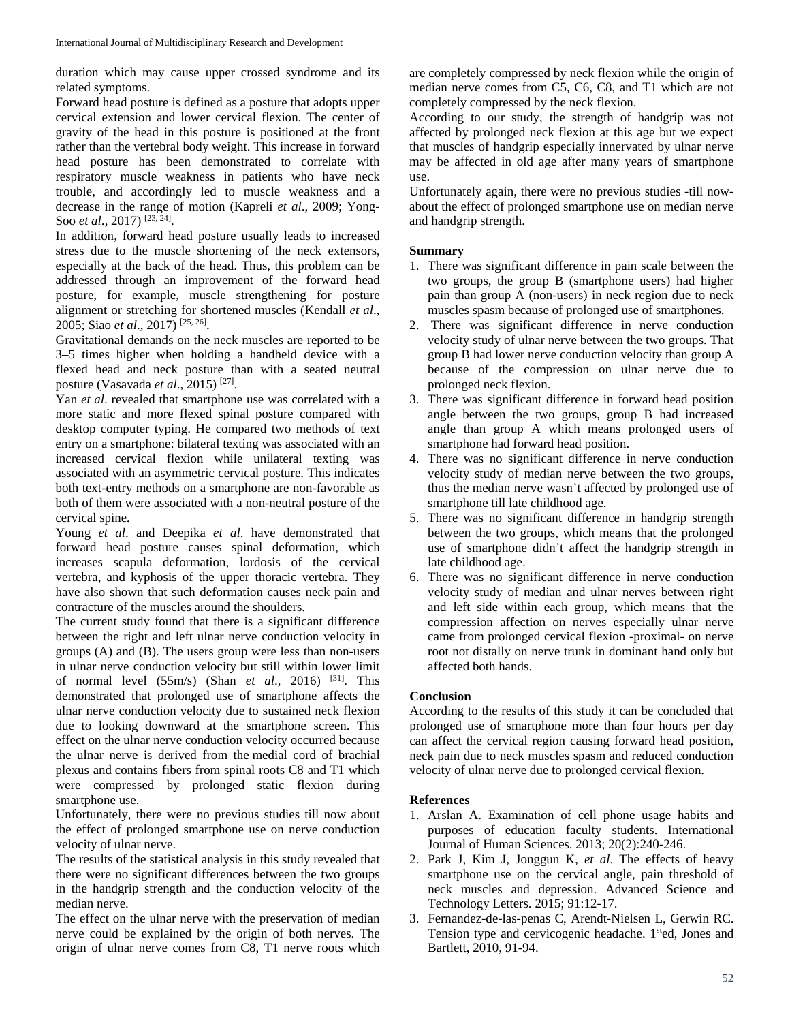duration which may cause upper crossed syndrome and its related symptoms.

Forward head posture is defined as a posture that adopts upper cervical extension and lower cervical flexion. The center of gravity of the head in this posture is positioned at the front rather than the vertebral body weight. This increase in forward head posture has been demonstrated to correlate with respiratory muscle weakness in patients who have neck trouble, and accordingly led to muscle weakness and a decrease in the range of motion (Kapreli *et al*., 2009; Yong-Soo *et al*., 2017) [23, 24].

In addition, forward head posture usually leads to increased stress due to the muscle shortening of the neck extensors, especially at the back of the head. Thus, this problem can be addressed through an improvement of the forward head posture, for example, muscle strengthening for posture alignment or stretching for shortened muscles (Kendall *et al*., 2005; Siao *et al*., 2017) [25, 26] .

Gravitational demands on the neck muscles are reported to be 3–5 times higher when holding a handheld device with a flexed head and neck posture than with a seated neutral posture (Vasavada *et al*., 2015) [27].

Yan *et al*. revealed that smartphone use was correlated with a more static and more flexed spinal posture compared with desktop computer typing. He compared two methods of text entry on a smartphone: bilateral texting was associated with an increased cervical flexion while unilateral texting was associated with an asymmetric cervical posture. This indicates both text-entry methods on a smartphone are non-favorable as both of them were associated with a non-neutral posture of the cervical spine**.**

Young *et al*. and Deepika *et al*. have demonstrated that forward head posture causes spinal deformation, which increases scapula deformation, lordosis of the cervical vertebra, and kyphosis of the upper thoracic vertebra. They have also shown that such deformation causes neck pain and contracture of the muscles around the shoulders.

The current study found that there is a significant difference between the right and left ulnar nerve conduction velocity in groups (A) and (B). The users group were less than non-users in ulnar nerve conduction velocity but still within lower limit of normal level (55m/s) (Shan *et al*., 2016) [31]. This demonstrated that prolonged use of smartphone affects the ulnar nerve conduction velocity due to sustained neck flexion due to looking downward at the smartphone screen. This effect on the ulnar nerve conduction velocity occurred because the ulnar nerve is derived from the medial cord of brachial plexus and contains fibers from spinal roots C8 and T1 which were compressed by prolonged static flexion during smartphone use.

Unfortunately, there were no previous studies till now about the effect of prolonged smartphone use on nerve conduction velocity of ulnar nerve.

The results of the statistical analysis in this study revealed that there were no significant differences between the two groups in the handgrip strength and the conduction velocity of the median nerve.

The effect on the ulnar nerve with the preservation of median nerve could be explained by the origin of both nerves. The origin of ulnar nerve comes from C8, T1 nerve roots which

are completely compressed by neck flexion while the origin of median nerve comes from C5, C6, C8, and T1 which are not completely compressed by the neck flexion.

According to our study, the strength of handgrip was not affected by prolonged neck flexion at this age but we expect that muscles of handgrip especially innervated by ulnar nerve may be affected in old age after many years of smartphone use.

Unfortunately again, there were no previous studies -till nowabout the effect of prolonged smartphone use on median nerve and handgrip strength.

## **Summary**

- 1. There was significant difference in pain scale between the two groups, the group B (smartphone users) had higher pain than group A (non-users) in neck region due to neck muscles spasm because of prolonged use of smartphones.
- 2. There was significant difference in nerve conduction velocity study of ulnar nerve between the two groups. That group B had lower nerve conduction velocity than group A because of the compression on ulnar nerve due to prolonged neck flexion.
- 3. There was significant difference in forward head position angle between the two groups, group B had increased angle than group A which means prolonged users of smartphone had forward head position.
- 4. There was no significant difference in nerve conduction velocity study of median nerve between the two groups, thus the median nerve wasn't affected by prolonged use of smartphone till late childhood age.
- 5. There was no significant difference in handgrip strength between the two groups, which means that the prolonged use of smartphone didn't affect the handgrip strength in late childhood age.
- 6. There was no significant difference in nerve conduction velocity study of median and ulnar nerves between right and left side within each group, which means that the compression affection on nerves especially ulnar nerve came from prolonged cervical flexion -proximal- on nerve root not distally on nerve trunk in dominant hand only but affected both hands.

## **Conclusion**

According to the results of this study it can be concluded that prolonged use of smartphone more than four hours per day can affect the cervical region causing forward head position, neck pain due to neck muscles spasm and reduced conduction velocity of ulnar nerve due to prolonged cervical flexion.

### **References**

- 1. Arslan A. Examination of cell phone usage habits and purposes of education faculty students. International Journal of Human Sciences. 2013; 20(2):240-246.
- 2. Park J, Kim J, Jonggun K, *et al*. The effects of heavy smartphone use on the cervical angle, pain threshold of neck muscles and depression. Advanced Science and Technology Letters. 2015; 91:12-17.
- 3. Fernandez-de-las-penas C, Arendt-Nielsen L, Gerwin RC. Tension type and cervicogenic headache. 1<sup>st</sup>ed, Jones and Bartlett, 2010, 91-94.